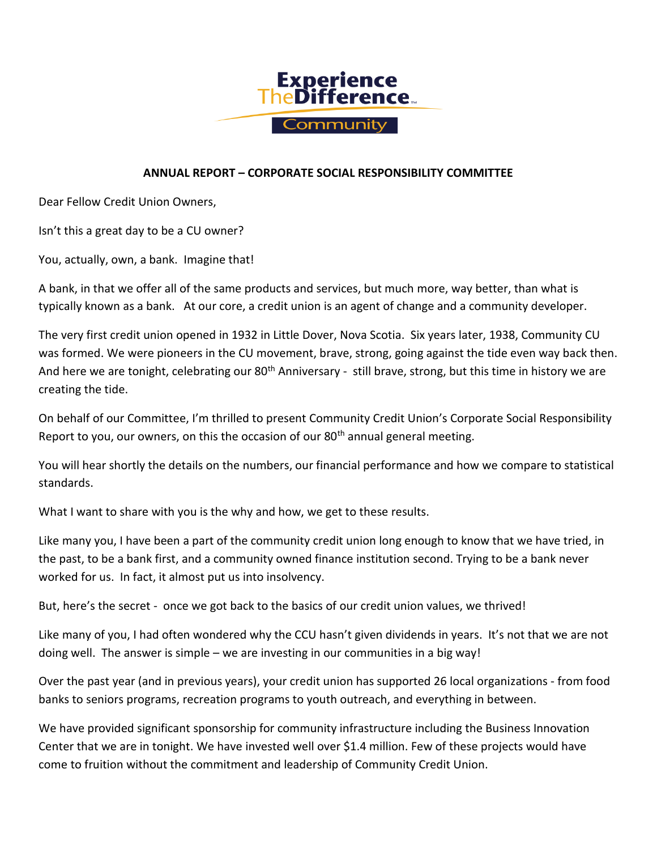

## **ANNUAL REPORT – CORPORATE SOCIAL RESPONSIBILITY COMMITTEE**

Dear Fellow Credit Union Owners,

Isn't this a great day to be a CU owner?

You, actually, own, a bank. Imagine that!

A bank, in that we offer all of the same products and services, but much more, way better, than what is typically known as a bank. At our core, a credit union is an agent of change and a community developer.

The very first credit union opened in 1932 in Little Dover, Nova Scotia. Six years later, 1938, Community CU was formed. We were pioneers in the CU movement, brave, strong, going against the tide even way back then. And here we are tonight, celebrating our 80<sup>th</sup> Anniversary - still brave, strong, but this time in history we are creating the tide.

On behalf of our Committee, I'm thrilled to present Community Credit Union's Corporate Social Responsibility Report to you, our owners, on this the occasion of our  $80<sup>th</sup>$  annual general meeting.

You will hear shortly the details on the numbers, our financial performance and how we compare to statistical standards.

What I want to share with you is the why and how, we get to these results.

Like many you, I have been a part of the community credit union long enough to know that we have tried, in the past, to be a bank first, and a community owned finance institution second. Trying to be a bank never worked for us. In fact, it almost put us into insolvency.

But, here's the secret - once we got back to the basics of our credit union values, we thrived!

Like many of you, I had often wondered why the CCU hasn't given dividends in years. It's not that we are not doing well. The answer is simple – we are investing in our communities in a big way!

Over the past year (and in previous years), your credit union has supported 26 local organizations - from food banks to seniors programs, recreation programs to youth outreach, and everything in between.

We have provided significant sponsorship for community infrastructure including the Business Innovation Center that we are in tonight. We have invested well over \$1.4 million. Few of these projects would have come to fruition without the commitment and leadership of Community Credit Union.